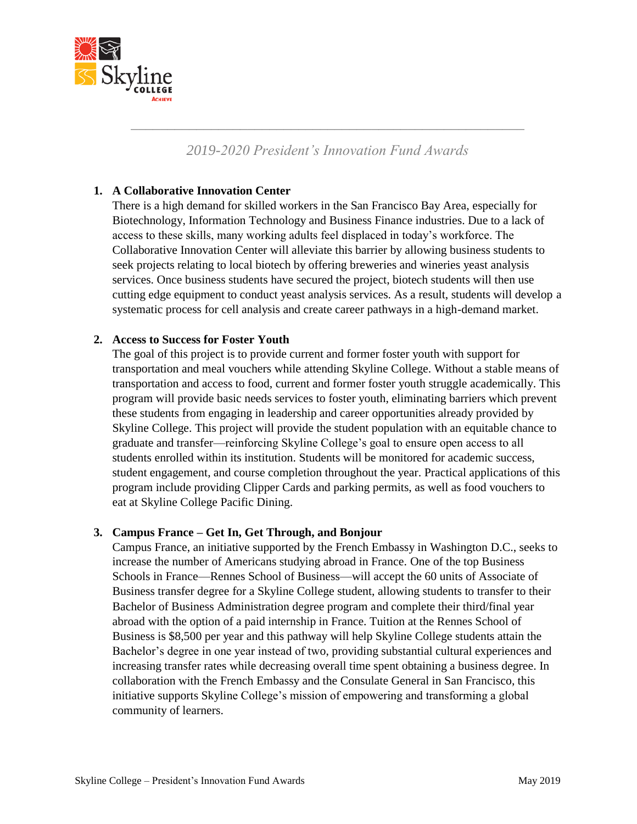

# *2019-2020 President's Innovation Fund Awards*

*\_\_\_\_\_\_\_\_\_\_\_\_\_\_\_\_\_\_\_\_\_\_\_\_\_\_\_\_\_\_\_\_\_\_\_\_\_\_\_\_\_\_\_\_\_\_\_\_\_\_\_\_\_\_*

### **1. A Collaborative Innovation Center**

There is a high demand for skilled workers in the San Francisco Bay Area, especially for Biotechnology, Information Technology and Business Finance industries. Due to a lack of access to these skills, many working adults feel displaced in today's workforce. The Collaborative Innovation Center will alleviate this barrier by allowing business students to seek projects relating to local biotech by offering breweries and wineries yeast analysis services. Once business students have secured the project, biotech students will then use cutting edge equipment to conduct yeast analysis services. As a result, students will develop a systematic process for cell analysis and create career pathways in a high-demand market.

### **2. Access to Success for Foster Youth**

The goal of this project is to provide current and former foster youth with support for transportation and meal vouchers while attending Skyline College. Without a stable means of transportation and access to food, current and former foster youth struggle academically. This program will provide basic needs services to foster youth, eliminating barriers which prevent these students from engaging in leadership and career opportunities already provided by Skyline College. This project will provide the student population with an equitable chance to graduate and transfer—reinforcing Skyline College's goal to ensure open access to all students enrolled within its institution. Students will be monitored for academic success, student engagement, and course completion throughout the year. Practical applications of this program include providing Clipper Cards and parking permits, as well as food vouchers to eat at Skyline College Pacific Dining.

### **3. Campus France – Get In, Get Through, and Bonjour**

Campus France, an initiative supported by the French Embassy in Washington D.C., seeks to increase the number of Americans studying abroad in France. One of the top Business Schools in France—Rennes School of Business—will accept the 60 units of Associate of Business transfer degree for a Skyline College student, allowing students to transfer to their Bachelor of Business Administration degree program and complete their third/final year abroad with the option of a paid internship in France. Tuition at the Rennes School of Business is \$8,500 per year and this pathway will help Skyline College students attain the Bachelor's degree in one year instead of two, providing substantial cultural experiences and increasing transfer rates while decreasing overall time spent obtaining a business degree. In collaboration with the French Embassy and the Consulate General in San Francisco, this initiative supports Skyline College's mission of empowering and transforming a global community of learners.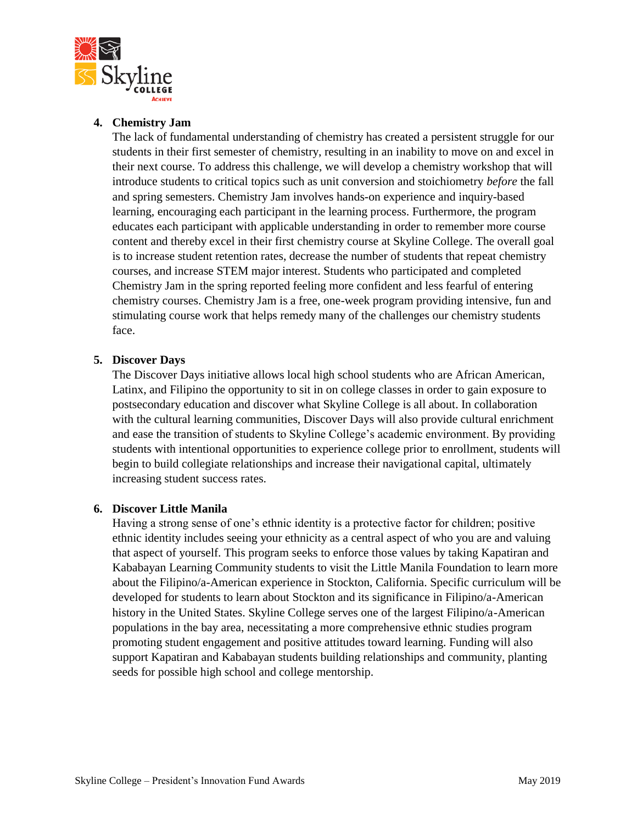

### **4. Chemistry Jam**

The lack of fundamental understanding of chemistry has created a persistent struggle for our students in their first semester of chemistry, resulting in an inability to move on and excel in their next course. To address this challenge, we will develop a chemistry workshop that will introduce students to critical topics such as unit conversion and stoichiometry *before* the fall and spring semesters. Chemistry Jam involves hands-on experience and inquiry-based learning, encouraging each participant in the learning process. Furthermore, the program educates each participant with applicable understanding in order to remember more course content and thereby excel in their first chemistry course at Skyline College. The overall goal is to increase student retention rates, decrease the number of students that repeat chemistry courses, and increase STEM major interest. Students who participated and completed Chemistry Jam in the spring reported feeling more confident and less fearful of entering chemistry courses. Chemistry Jam is a free, one-week program providing intensive, fun and stimulating course work that helps remedy many of the challenges our chemistry students face.

## **5. Discover Days**

The Discover Days initiative allows local high school students who are African American, Latinx, and Filipino the opportunity to sit in on college classes in order to gain exposure to postsecondary education and discover what Skyline College is all about. In collaboration with the cultural learning communities, Discover Days will also provide cultural enrichment and ease the transition of students to Skyline College's academic environment. By providing students with intentional opportunities to experience college prior to enrollment, students will begin to build collegiate relationships and increase their navigational capital, ultimately increasing student success rates.

### **6. Discover Little Manila**

Having a strong sense of one's ethnic identity is a protective factor for children; positive ethnic identity includes seeing your ethnicity as a central aspect of who you are and valuing that aspect of yourself. This program seeks to enforce those values by taking Kapatiran and Kababayan Learning Community students to visit the Little Manila Foundation to learn more about the Filipino/a-American experience in Stockton, California. Specific curriculum will be developed for students to learn about Stockton and its significance in Filipino/a-American history in the United States. Skyline College serves one of the largest Filipino/a-American populations in the bay area, necessitating a more comprehensive ethnic studies program promoting student engagement and positive attitudes toward learning. Funding will also support Kapatiran and Kababayan students building relationships and community, planting seeds for possible high school and college mentorship.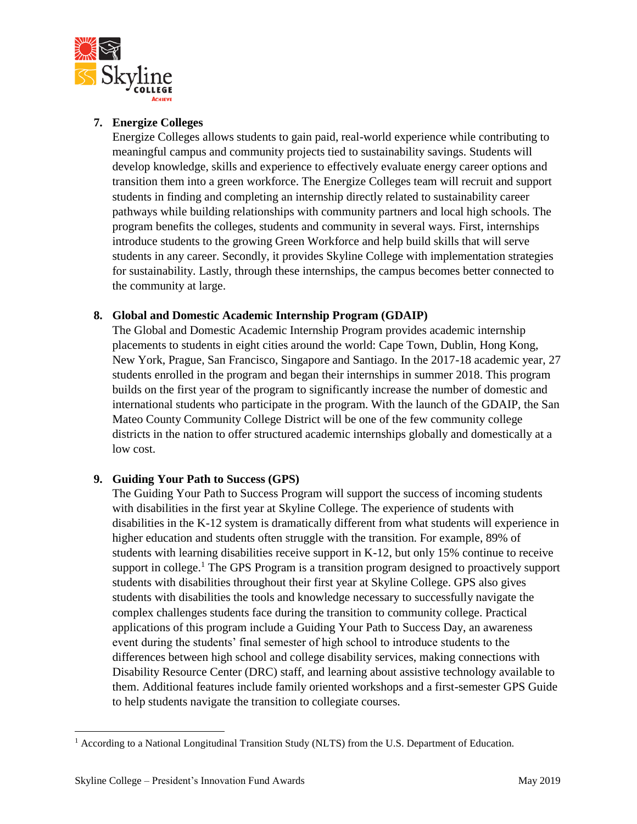

## **7. Energize Colleges**

Energize Colleges allows students to gain paid, real-world experience while contributing to meaningful campus and community projects tied to sustainability savings. Students will develop knowledge, skills and experience to effectively evaluate energy career options and transition them into a green workforce. The Energize Colleges team will recruit and support students in finding and completing an internship directly related to sustainability career pathways while building relationships with community partners and local high schools. The program benefits the colleges, students and community in several ways. First, internships introduce students to the growing Green Workforce and help build skills that will serve students in any career. Secondly, it provides Skyline College with implementation strategies for sustainability. Lastly, through these internships, the campus becomes better connected to the community at large.

## **8. Global and Domestic Academic Internship Program (GDAIP)**

The Global and Domestic Academic Internship Program provides academic internship placements to students in eight cities around the world: Cape Town, Dublin, Hong Kong, New York, Prague, San Francisco, Singapore and Santiago. In the 2017-18 academic year, 27 students enrolled in the program and began their internships in summer 2018. This program builds on the first year of the program to significantly increase the number of domestic and international students who participate in the program. With the launch of the GDAIP, the San Mateo County Community College District will be one of the few community college districts in the nation to offer structured academic internships globally and domestically at a low cost.

# **9. Guiding Your Path to Success (GPS)**

The Guiding Your Path to Success Program will support the success of incoming students with disabilities in the first year at Skyline College. The experience of students with disabilities in the K-12 system is dramatically different from what students will experience in higher education and students often struggle with the transition. For example, 89% of students with learning disabilities receive support in K-12, but only 15% continue to receive support in college.<sup>1</sup> The GPS Program is a transition program designed to proactively support students with disabilities throughout their first year at Skyline College. GPS also gives students with disabilities the tools and knowledge necessary to successfully navigate the complex challenges students face during the transition to community college. Practical applications of this program include a Guiding Your Path to Success Day, an awareness event during the students' final semester of high school to introduce students to the differences between high school and college disability services, making connections with Disability Resource Center (DRC) staff, and learning about assistive technology available to them. Additional features include family oriented workshops and a first-semester GPS Guide to help students navigate the transition to collegiate courses.

 $\overline{\phantom{a}}$ <sup>1</sup> According to a National Longitudinal Transition Study (NLTS) from the U.S. Department of Education.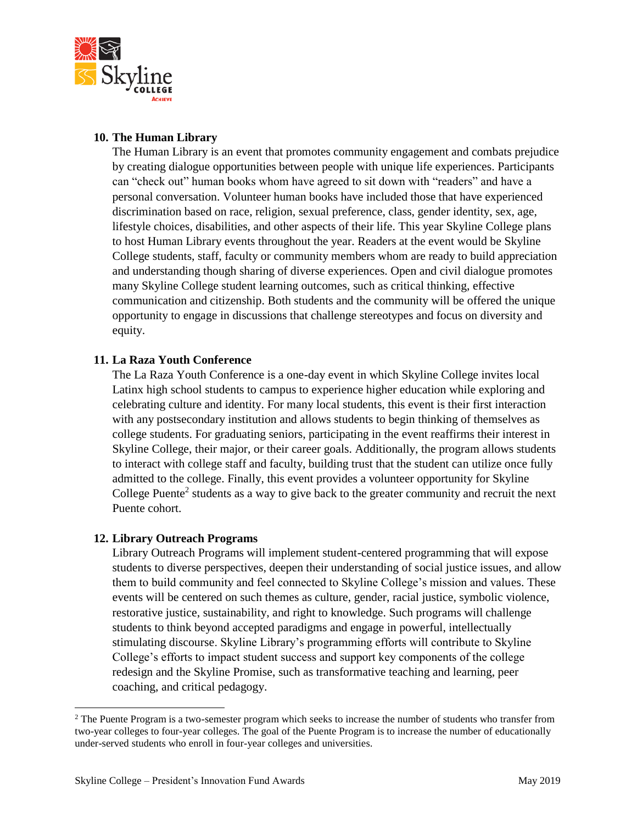

### **10. The Human Library**

The Human Library is an event that promotes community engagement and combats prejudice by creating dialogue opportunities between people with unique life experiences. Participants can "check out" human books whom have agreed to sit down with "readers" and have a personal conversation. Volunteer human books have included those that have experienced discrimination based on race, religion, sexual preference, class, gender identity, sex, age, lifestyle choices, disabilities, and other aspects of their life. This year Skyline College plans to host Human Library events throughout the year. Readers at the event would be Skyline College students, staff, faculty or community members whom are ready to build appreciation and understanding though sharing of diverse experiences. Open and civil dialogue promotes many Skyline College student learning outcomes, such as critical thinking, effective communication and citizenship. Both students and the community will be offered the unique opportunity to engage in discussions that challenge stereotypes and focus on diversity and equity.

## **11. La Raza Youth Conference**

The La Raza Youth Conference is a one-day event in which Skyline College invites local Latinx high school students to campus to experience higher education while exploring and celebrating culture and identity. For many local students, this event is their first interaction with any postsecondary institution and allows students to begin thinking of themselves as college students. For graduating seniors, participating in the event reaffirms their interest in Skyline College, their major, or their career goals. Additionally, the program allows students to interact with college staff and faculty, building trust that the student can utilize once fully admitted to the college. Finally, this event provides a volunteer opportunity for Skyline College Puente<sup>2</sup> students as a way to give back to the greater community and recruit the next Puente cohort.

### **12. Library Outreach Programs**

Library Outreach Programs will implement student-centered programming that will expose students to diverse perspectives, deepen their understanding of social justice issues, and allow them to build community and feel connected to Skyline College's mission and values. These events will be centered on such themes as culture, gender, racial justice, symbolic violence, restorative justice, sustainability, and right to knowledge. Such programs will challenge students to think beyond accepted paradigms and engage in powerful, intellectually stimulating discourse. Skyline Library's programming efforts will contribute to Skyline College's efforts to impact student success and support key components of the college redesign and the Skyline Promise, such as transformative teaching and learning, peer coaching, and critical pedagogy.

 $\overline{\phantom{a}}$ 

<sup>&</sup>lt;sup>2</sup> The Puente Program is a two-semester program which seeks to increase the number of students who transfer from two-year colleges to four-year colleges. The goal of the Puente Program is to increase the number of educationally under-served students who enroll in four-year colleges and universities.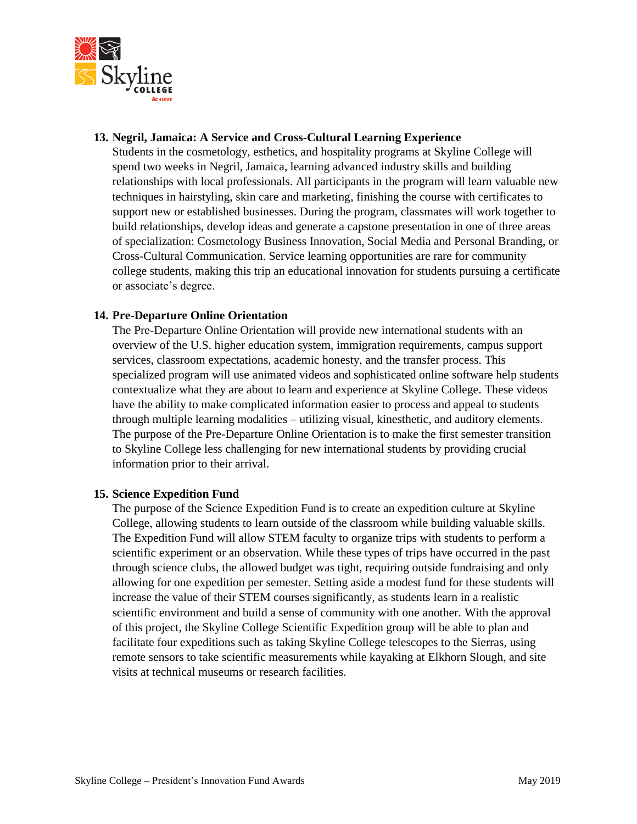

### **13. Negril, Jamaica: A Service and Cross-Cultural Learning Experience**

Students in the cosmetology, esthetics, and hospitality programs at Skyline College will spend two weeks in Negril, Jamaica, learning advanced industry skills and building relationships with local professionals. All participants in the program will learn valuable new techniques in hairstyling, skin care and marketing, finishing the course with certificates to support new or established businesses. During the program, classmates will work together to build relationships, develop ideas and generate a capstone presentation in one of three areas of specialization: Cosmetology Business Innovation, Social Media and Personal Branding, or Cross-Cultural Communication. Service learning opportunities are rare for community college students, making this trip an educational innovation for students pursuing a certificate or associate's degree.

#### **14. Pre-Departure Online Orientation**

The Pre-Departure Online Orientation will provide new international students with an overview of the U.S. higher education system, immigration requirements, campus support services, classroom expectations, academic honesty, and the transfer process. This specialized program will use animated videos and sophisticated online software help students contextualize what they are about to learn and experience at Skyline College. These videos have the ability to make complicated information easier to process and appeal to students through multiple learning modalities – utilizing visual, kinesthetic, and auditory elements. The purpose of the Pre-Departure Online Orientation is to make the first semester transition to Skyline College less challenging for new international students by providing crucial information prior to their arrival.

#### **15. Science Expedition Fund**

The purpose of the Science Expedition Fund is to create an expedition culture at Skyline College, allowing students to learn outside of the classroom while building valuable skills. The Expedition Fund will allow STEM faculty to organize trips with students to perform a scientific experiment or an observation. While these types of trips have occurred in the past through science clubs, the allowed budget was tight, requiring outside fundraising and only allowing for one expedition per semester. Setting aside a modest fund for these students will increase the value of their STEM courses significantly, as students learn in a realistic scientific environment and build a sense of community with one another. With the approval of this project, the Skyline College Scientific Expedition group will be able to plan and facilitate four expeditions such as taking Skyline College telescopes to the Sierras, using remote sensors to take scientific measurements while kayaking at Elkhorn Slough, and site visits at technical museums or research facilities.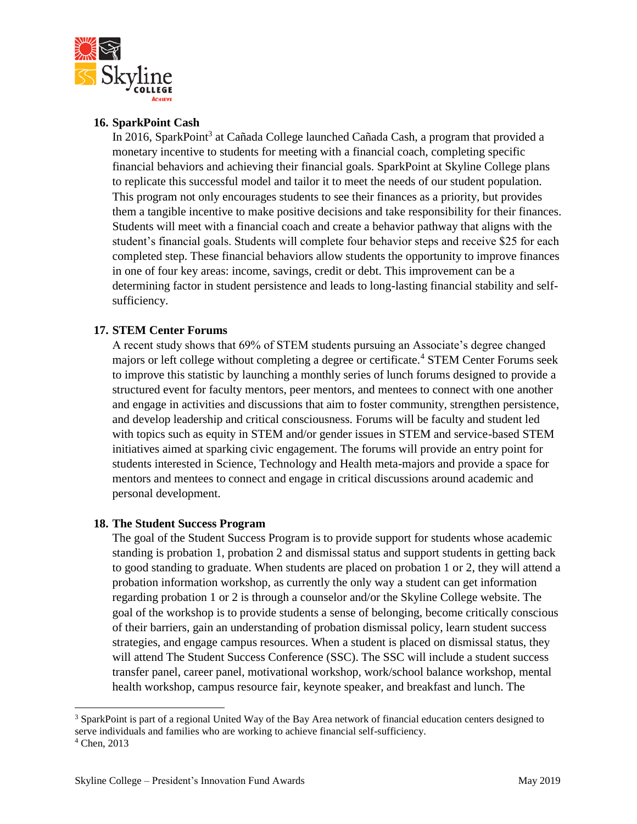

### **16. SparkPoint Cash**

In 2016, SparkPoint<sup>3</sup> at Cañada College launched Cañada Cash, a program that provided a monetary incentive to students for meeting with a financial coach, completing specific financial behaviors and achieving their financial goals. SparkPoint at Skyline College plans to replicate this successful model and tailor it to meet the needs of our student population. This program not only encourages students to see their finances as a priority, but provides them a tangible incentive to make positive decisions and take responsibility for their finances. Students will meet with a financial coach and create a behavior pathway that aligns with the student's financial goals. Students will complete four behavior steps and receive \$25 for each completed step. These financial behaviors allow students the opportunity to improve finances in one of four key areas: income, savings, credit or debt. This improvement can be a determining factor in student persistence and leads to long-lasting financial stability and selfsufficiency.

### **17. STEM Center Forums**

A recent study shows that 69% of STEM students pursuing an Associate's degree changed majors or left college without completing a degree or certificate.<sup>4</sup> STEM Center Forums seek to improve this statistic by launching a monthly series of lunch forums designed to provide a structured event for faculty mentors, peer mentors, and mentees to connect with one another and engage in activities and discussions that aim to foster community, strengthen persistence, and develop leadership and critical consciousness. Forums will be faculty and student led with topics such as equity in STEM and/or gender issues in STEM and service-based STEM initiatives aimed at sparking civic engagement. The forums will provide an entry point for students interested in Science, Technology and Health meta-majors and provide a space for mentors and mentees to connect and engage in critical discussions around academic and personal development.

### **18. The Student Success Program**

The goal of the Student Success Program is to provide support for students whose academic standing is probation 1, probation 2 and dismissal status and support students in getting back to good standing to graduate. When students are placed on probation 1 or 2, they will attend a probation information workshop, as currently the only way a student can get information regarding probation 1 or 2 is through a counselor and/or the Skyline College website. The goal of the workshop is to provide students a sense of belonging, become critically conscious of their barriers, gain an understanding of probation dismissal policy, learn student success strategies, and engage campus resources. When a student is placed on dismissal status, they will attend The Student Success Conference (SSC). The SSC will include a student success transfer panel, career panel, motivational workshop, work/school balance workshop, mental health workshop, campus resource fair, keynote speaker, and breakfast and lunch. The

 $\overline{\phantom{a}}$ 

<sup>3</sup> SparkPoint is part of a regional United Way of the Bay Area network of financial education centers designed to serve individuals and families who are working to achieve financial self-sufficiency.

<sup>4</sup> Chen, 2013